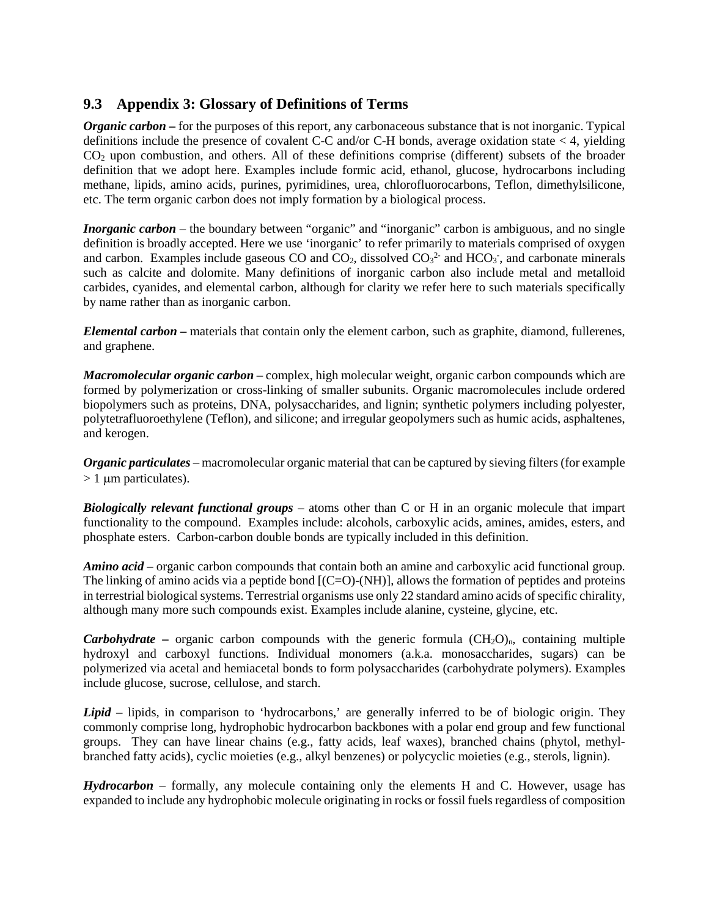## **9.3 Appendix 3: Glossary of Definitions of Terms**

*Organic carbon –* for the purposes of this report, any carbonaceous substance that is not inorganic. Typical definitions include the presence of covalent C-C and/or C-H bonds, average oxidation state < 4, yielding CO2 upon combustion, and others. All of these definitions comprise (different) subsets of the broader definition that we adopt here. Examples include formic acid, ethanol, glucose, hydrocarbons including methane, lipids, amino acids, purines, pyrimidines, urea, chlorofluorocarbons, Teflon, dimethylsilicone, etc. The term organic carbon does not imply formation by a biological process.

*Inorganic carbon* – the boundary between "organic" and "inorganic" carbon is ambiguous, and no single definition is broadly accepted. Here we use 'inorganic' to refer primarily to materials comprised of oxygen and carbon. Examples include gaseous CO and  $CO<sub>2</sub>$ , dissolved  $CO<sub>3</sub><sup>2</sup>$  and HCO<sub>3</sub>, and carbonate minerals such as calcite and dolomite. Many definitions of inorganic carbon also include metal and metalloid carbides, cyanides, and elemental carbon, although for clarity we refer here to such materials specifically by name rather than as inorganic carbon.

*Elemental carbon –* materials that contain only the element carbon, such as graphite, diamond, fullerenes, and graphene.

*Macromolecular organic carbon* – complex, high molecular weight, organic carbon compounds which are formed by polymerization or cross-linking of smaller subunits. Organic macromolecules include ordered biopolymers such as proteins, DNA, polysaccharides, and lignin; synthetic polymers including polyester, polytetrafluoroethylene (Teflon), and silicone; and irregular geopolymers such as humic acids, asphaltenes, and kerogen.

*Organic particulates* – macromolecular organic material that can be captured by sieving filters (for example  $> 1 \mu m$  particulates).

*Biologically relevant functional groups –* atoms other than C or H in an organic molecule that impart functionality to the compound. Examples include: alcohols, carboxylic acids, amines, amides, esters, and phosphate esters. Carbon-carbon double bonds are typically included in this definition.

*Amino acid –* organic carbon compounds that contain both an amine and carboxylic acid functional group. The linking of amino acids via a peptide bond  $[(C=O)-(NH)]$ , allows the formation of peptides and proteins in terrestrial biological systems. Terrestrial organisms use only 22 standard amino acids of specific chirality, although many more such compounds exist. Examples include alanine, cysteine, glycine, etc.

*Carbohydrate* – organic carbon compounds with the generic formula  $(CH_2O)<sub>n</sub>$ , containing multiple hydroxyl and carboxyl functions. Individual monomers (a.k.a. monosaccharides, sugars) can be polymerized via acetal and hemiacetal bonds to form polysaccharides (carbohydrate polymers). Examples include glucose, sucrose, cellulose, and starch.

Lipid – lipids, in comparison to 'hydrocarbons,' are generally inferred to be of biologic origin. They commonly comprise long, hydrophobic hydrocarbon backbones with a polar end group and few functional groups. They can have linear chains (e.g., fatty acids, leaf waxes), branched chains (phytol, methylbranched fatty acids), cyclic moieties (e.g., alkyl benzenes) or polycyclic moieties (e.g., sterols, lignin).

*Hydrocarbon* – formally, any molecule containing only the elements H and C. However, usage has expanded to include any hydrophobic molecule originating in rocks or fossil fuels regardless of composition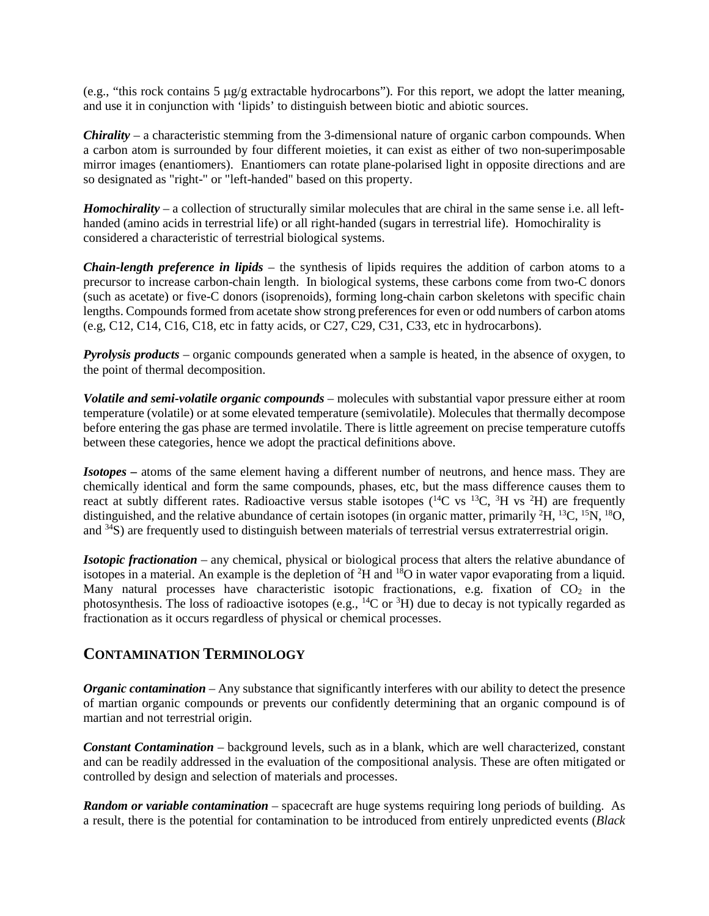(e.g., "this rock contains 5  $\mu$ g/g extractable hydrocarbons"). For this report, we adopt the latter meaning, and use it in conjunction with 'lipids' to distinguish between biotic and abiotic sources.

*Chirality –* a characteristic stemming from the 3-dimensional nature of organic carbon compounds. When a carbon atom is surrounded by four different moieties, it can exist as either of two non-superimposable mirror images (enantiomers). Enantiomers can rotate plane-polarised light in opposite directions and are so designated as "right-" or "left-handed" based on this property.

*Homochirality* – a collection of structurally similar molecules that are chiral in the same sense i.e. all lefthanded (amino acids in terrestrial life) or all right-handed (sugars in terrestrial life). Homochirality is considered a characteristic of terrestrial biological systems.

*Chain-length preference in lipids* – the synthesis of lipids requires the addition of carbon atoms to a precursor to increase carbon-chain length. In biological systems, these carbons come from two-C donors (such as acetate) or five-C donors (isoprenoids), forming long-chain carbon skeletons with specific chain lengths. Compounds formed from acetate show strong preferences for even or odd numbers of carbon atoms (e.g, C12, C14, C16, C18, etc in fatty acids, or C27, C29, C31, C33, etc in hydrocarbons).

*Pyrolysis products* – organic compounds generated when a sample is heated, in the absence of oxygen, to the point of thermal decomposition.

*Volatile and semi-volatile organic compounds* – molecules with substantial vapor pressure either at room temperature (volatile) or at some elevated temperature (semivolatile). Molecules that thermally decompose before entering the gas phase are termed involatile. There is little agreement on precise temperature cutoffs between these categories, hence we adopt the practical definitions above.

*Isotopes –* atoms of the same element having a different number of neutrons, and hence mass. They are chemically identical and form the same compounds, phases, etc, but the mass difference causes them to react at subtly different rates. Radioactive versus stable isotopes ( $^{14}$ C vs  $^{13}$ C,  $^{3}$ H vs  $^{2}$ H) are frequently distinguished, and the relative abundance of certain isotopes (in organic matter, primarily <sup>2</sup>H, <sup>13</sup>C, <sup>15</sup>N, <sup>18</sup>O, and <sup>34</sup>S) are frequently used to distinguish between materials of terrestrial versus extraterrestrial origin.

*Isotopic fractionation* – any chemical, physical or biological process that alters the relative abundance of isotopes in a material. An example is the depletion of  ${}^{2}H$  and  ${}^{18}O$  in water vapor evaporating from a liquid. Many natural processes have characteristic isotopic fractionations, e.g. fixation of  $CO<sub>2</sub>$  in the photosynthesis. The loss of radioactive isotopes (e.g., <sup>14</sup>C or <sup>3</sup>H) due to decay is not typically regarded as fractionation as it occurs regardless of physical or chemical processes.

# **CONTAMINATION TERMINOLOGY**

*Organic contamination* – Any substance that significantly interferes with our ability to detect the presence of martian organic compounds or prevents our confidently determining that an organic compound is of martian and not terrestrial origin.

*Constant Contamination* – background levels, such as in a blank, which are well characterized, constant and can be readily addressed in the evaluation of the compositional analysis. These are often mitigated or controlled by design and selection of materials and processes.

*Random or variable contamination* – spacecraft are huge systems requiring long periods of building. As a result, there is the potential for contamination to be introduced from entirely unpredicted events (*Black*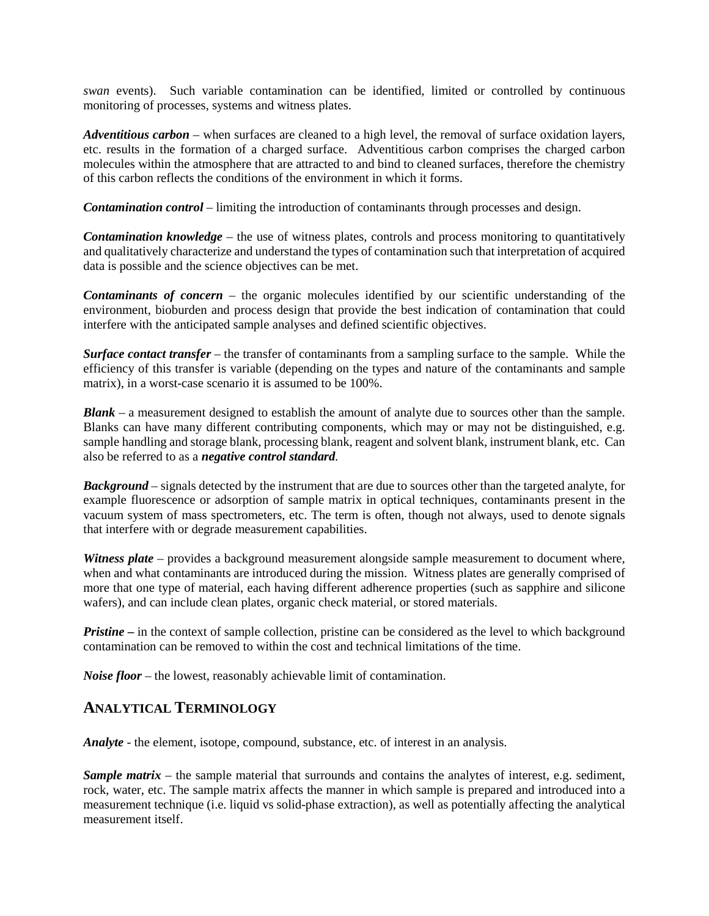*swan* events). Such variable contamination can be identified, limited or controlled by continuous monitoring of processes, systems and witness plates.

*Adventitious carbon –* when surfaces are cleaned to a high level, the removal of surface oxidation layers, etc. results in the formation of a charged surface. Adventitious carbon comprises the charged carbon molecules within the atmosphere that are attracted to and bind to cleaned surfaces, therefore the chemistry of this carbon reflects the conditions of the environment in which it forms.

*Contamination control –* limiting the introduction of contaminants through processes and design.

*Contamination knowledge* – the use of witness plates, controls and process monitoring to quantitatively and qualitatively characterize and understand the types of contamination such that interpretation of acquired data is possible and the science objectives can be met.

*Contaminants of concern* – the organic molecules identified by our scientific understanding of the environment, bioburden and process design that provide the best indication of contamination that could interfere with the anticipated sample analyses and defined scientific objectives.

*Surface contact transfer* – the transfer of contaminants from a sampling surface to the sample. While the efficiency of this transfer is variable (depending on the types and nature of the contaminants and sample matrix), in a worst-case scenario it is assumed to be 100%.

*Blank* – a measurement designed to establish the amount of analyte due to sources other than the sample. Blanks can have many different contributing components, which may or may not be distinguished, e.g. sample handling and storage blank, processing blank, reagent and solvent blank, instrument blank, etc. Can also be referred to as a *negative control standard.* 

*Background* – signals detected by the instrument that are due to sources other than the targeted analyte, for example fluorescence or adsorption of sample matrix in optical techniques, contaminants present in the vacuum system of mass spectrometers, etc. The term is often, though not always, used to denote signals that interfere with or degrade measurement capabilities.

*Witness plate* – provides a background measurement alongside sample measurement to document where, when and what contaminants are introduced during the mission. Witness plates are generally comprised of more that one type of material, each having different adherence properties (such as sapphire and silicone wafers), and can include clean plates, organic check material, or stored materials.

*Pristine –* in the context of sample collection, pristine can be considered as the level to which background contamination can be removed to within the cost and technical limitations of the time.

*Noise floor* – the lowest, reasonably achievable limit of contamination.

## **ANALYTICAL TERMINOLOGY**

*Analyte* - the element, isotope, compound, substance, etc. of interest in an analysis.

*Sample matrix –* the sample material that surrounds and contains the analytes of interest, e.g. sediment, rock, water, etc. The sample matrix affects the manner in which sample is prepared and introduced into a measurement technique (i.e. liquid vs solid-phase extraction), as well as potentially affecting the analytical measurement itself.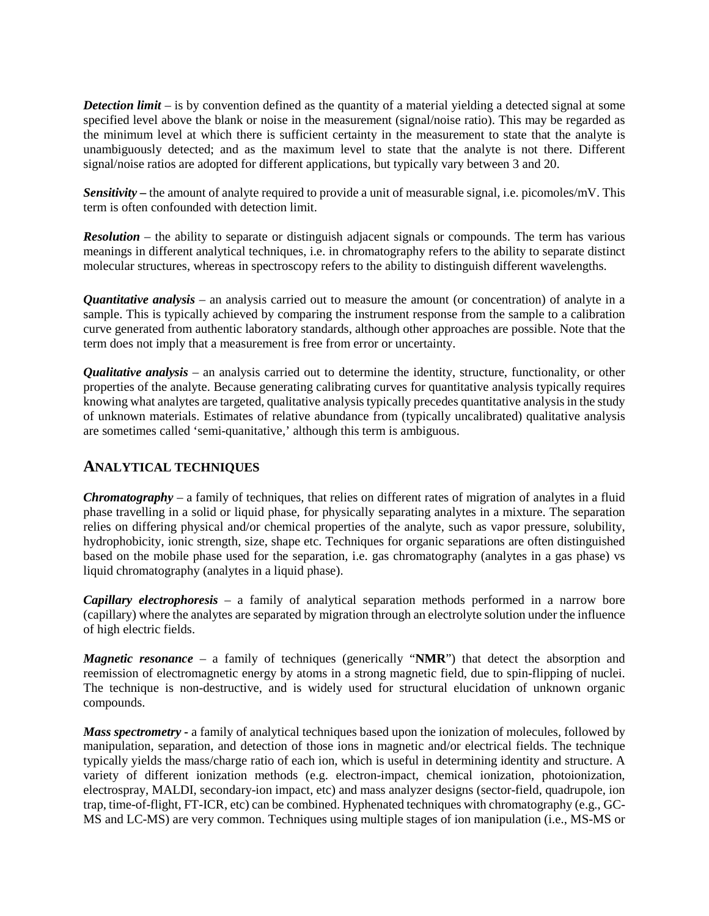*Detection limit* – is by convention defined as the quantity of a material yielding a detected signal at some specified level above the blank or noise in the measurement (signal/noise ratio). This may be regarded as the minimum level at which there is sufficient certainty in the measurement to state that the analyte is unambiguously detected; and as the maximum level to state that the analyte is not there. Different signal/noise ratios are adopted for different applications, but typically vary between 3 and 20.

*Sensitivity –* the amount of analyte required to provide a unit of measurable signal, i.e. picomoles/mV. This term is often confounded with detection limit.

*Resolution* – the ability to separate or distinguish adjacent signals or compounds. The term has various meanings in different analytical techniques, i.e. in chromatography refers to the ability to separate distinct molecular structures, whereas in spectroscopy refers to the ability to distinguish different wavelengths.

*Quantitative analysis* – an analysis carried out to measure the amount (or concentration) of analyte in a sample. This is typically achieved by comparing the instrument response from the sample to a calibration curve generated from authentic laboratory standards, although other approaches are possible. Note that the term does not imply that a measurement is free from error or uncertainty.

*Qualitative analysis* – an analysis carried out to determine the identity, structure, functionality, or other properties of the analyte. Because generating calibrating curves for quantitative analysis typically requires knowing what analytes are targeted, qualitative analysis typically precedes quantitative analysis in the study of unknown materials. Estimates of relative abundance from (typically uncalibrated) qualitative analysis are sometimes called 'semi-quanitative,' although this term is ambiguous.

# **ANALYTICAL TECHNIQUES**

*Chromatography* – a family of techniques, that relies on different rates of migration of analytes in a fluid phase travelling in a solid or liquid phase, for physically separating analytes in a mixture. The separation relies on differing physical and/or chemical properties of the analyte, such as vapor pressure, solubility, hydrophobicity, ionic strength, size, shape etc. Techniques for organic separations are often distinguished based on the mobile phase used for the separation, i.e. gas chromatography (analytes in a gas phase) vs liquid chromatography (analytes in a liquid phase).

*Capillary electrophoresis –* a family of analytical separation methods performed in a narrow bore (capillary) where the analytes are separated by migration through an electrolyte solution under the influence of high electric fields.

*Magnetic resonance* – a family of techniques (generically "**NMR**") that detect the absorption and reemission of electromagnetic energy by atoms in a strong magnetic field, due to spin-flipping of nuclei. The technique is non-destructive, and is widely used for structural elucidation of unknown organic compounds.

*Mass spectrometry -* a family of analytical techniques based upon the ionization of molecules, followed by manipulation, separation, and detection of those ions in magnetic and/or electrical fields. The technique typically yields the mass/charge ratio of each ion, which is useful in determining identity and structure. A variety of different ionization methods (e.g. electron-impact, chemical ionization, photoionization, electrospray, MALDI, secondary-ion impact, etc) and mass analyzer designs (sector-field, quadrupole, ion trap, time-of-flight, FT-ICR, etc) can be combined. Hyphenated techniques with chromatography (e.g., GC-MS and LC-MS) are very common. Techniques using multiple stages of ion manipulation (i.e., MS-MS or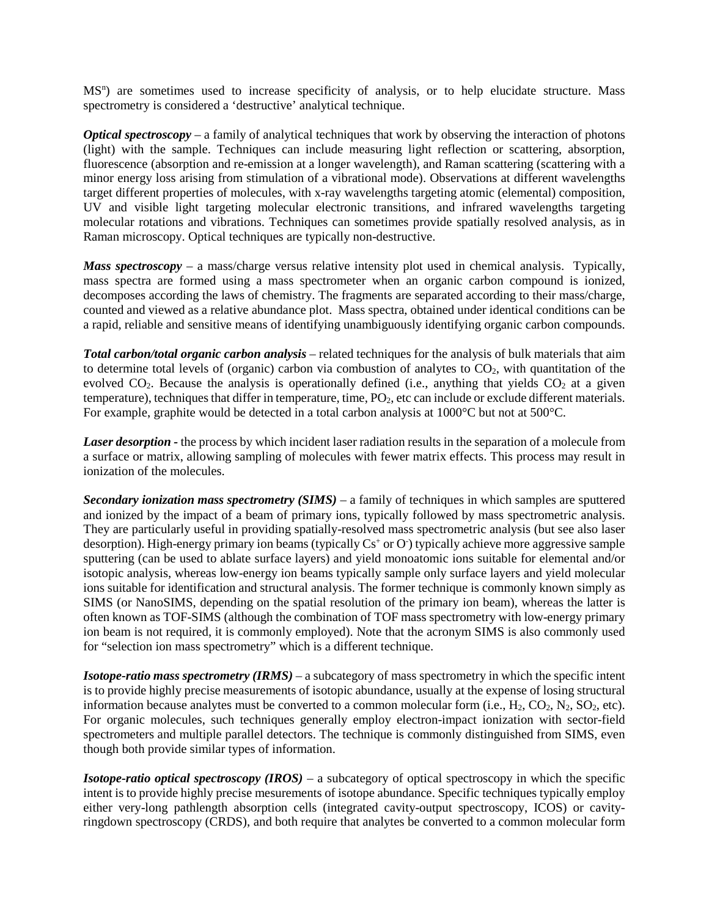MS<sup>n</sup>) are sometimes used to increase specificity of analysis, or to help elucidate structure. Mass spectrometry is considered a 'destructive' analytical technique.

*Optical spectroscopy* – a family of analytical techniques that work by observing the interaction of photons (light) with the sample. Techniques can include measuring light reflection or scattering, absorption, fluorescence (absorption and re-emission at a longer wavelength), and Raman scattering (scattering with a minor energy loss arising from stimulation of a vibrational mode). Observations at different wavelengths target different properties of molecules, with x-ray wavelengths targeting atomic (elemental) composition, UV and visible light targeting molecular electronic transitions, and infrared wavelengths targeting molecular rotations and vibrations. Techniques can sometimes provide spatially resolved analysis, as in Raman microscopy. Optical techniques are typically non-destructive.

*Mass spectroscopy* – a mass/charge versus relative intensity plot used in chemical analysis. Typically, mass spectra are formed using a mass spectrometer when an organic carbon compound is ionized, decomposes according the laws of chemistry. The fragments are separated according to their mass/charge, counted and viewed as a relative abundance plot. Mass spectra, obtained under identical conditions can be a rapid, reliable and sensitive means of identifying unambiguously identifying organic carbon compounds.

*Total carbon/total organic carbon analysis* – related techniques for the analysis of bulk materials that aim to determine total levels of (organic) carbon via combustion of analytes to  $CO<sub>2</sub>$ , with quantitation of the evolved  $CO_2$ . Because the analysis is operationally defined (i.e., anything that yields  $CO_2$  at a given temperature), techniques that differ in temperature, time, PO<sub>2</sub>, etc can include or exclude different materials. For example, graphite would be detected in a total carbon analysis at 1000 °C but not at 500 °C.

Laser desorption - the process by which incident laser radiation results in the separation of a molecule from a surface or matrix, allowing sampling of molecules with fewer matrix effects. This process may result in ionization of the molecules.

*Secondary ionization mass spectrometry (SIMS)* – a family of techniques in which samples are sputtered and ionized by the impact of a beam of primary ions, typically followed by mass spectrometric analysis. They are particularly useful in providing spatially-resolved mass spectrometric analysis (but see also laser desorption). High-energy primary ion beams (typically Cs<sup>+</sup> or O<sup>-</sup>) typically achieve more aggressive sample sputtering (can be used to ablate surface layers) and yield monoatomic ions suitable for elemental and/or isotopic analysis, whereas low-energy ion beams typically sample only surface layers and yield molecular ions suitable for identification and structural analysis. The former technique is commonly known simply as SIMS (or NanoSIMS, depending on the spatial resolution of the primary ion beam), whereas the latter is often known as TOF-SIMS (although the combination of TOF mass spectrometry with low-energy primary ion beam is not required, it is commonly employed). Note that the acronym SIMS is also commonly used for "selection ion mass spectrometry" which is a different technique.

*Isotope-ratio mass spectrometry (IRMS)* – a subcategory of mass spectrometry in which the specific intent is to provide highly precise measurements of isotopic abundance, usually at the expense of losing structural information because analytes must be converted to a common molecular form (i.e.,  $H_2$ ,  $CO_2$ ,  $N_2$ ,  $SO_2$ , etc). For organic molecules, such techniques generally employ electron-impact ionization with sector-field spectrometers and multiple parallel detectors. The technique is commonly distinguished from SIMS, even though both provide similar types of information.

*Isotope-ratio optical spectroscopy (IROS)* – a subcategory of optical spectroscopy in which the specific intent is to provide highly precise mesurements of isotope abundance. Specific techniques typically employ either very-long pathlength absorption cells (integrated cavity-output spectroscopy, ICOS) or cavityringdown spectroscopy (CRDS), and both require that analytes be converted to a common molecular form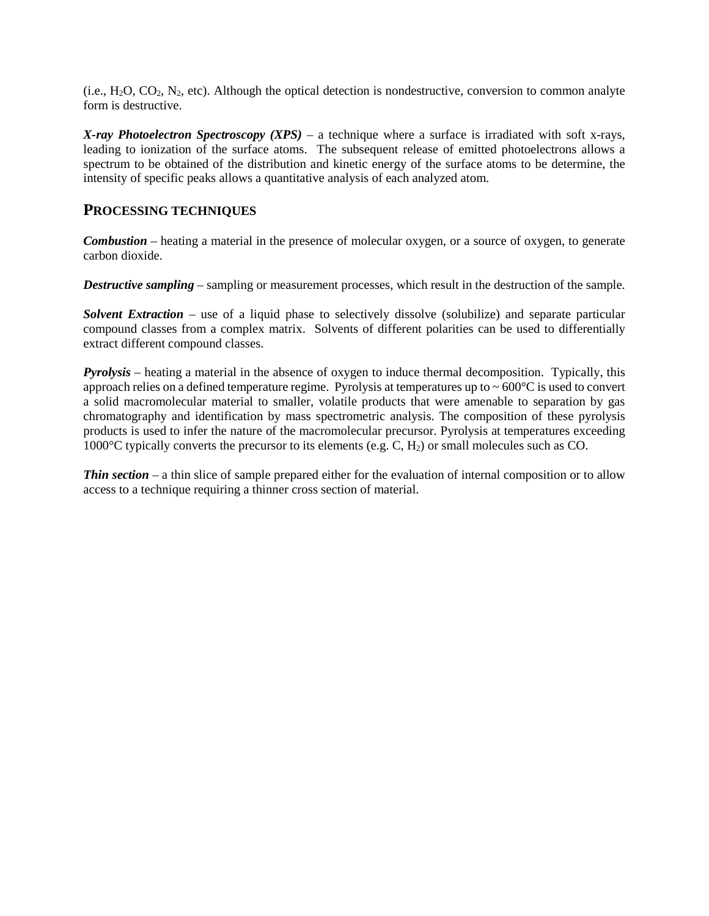(i.e.,  $H_2O$ ,  $CO_2$ ,  $N_2$ , etc). Although the optical detection is nondestructive, conversion to common analyte form is destructive.

*X-ray Photoelectron Spectroscopy (XPS)* – a technique where a surface is irradiated with soft x-rays, leading to ionization of the surface atoms. The subsequent release of emitted photoelectrons allows a spectrum to be obtained of the distribution and kinetic energy of the surface atoms to be determine, the intensity of specific peaks allows a quantitative analysis of each analyzed atom.

#### **PROCESSING TECHNIQUES**

*Combustion* – heating a material in the presence of molecular oxygen, or a source of oxygen, to generate carbon dioxide.

*Destructive sampling* – sampling or measurement processes, which result in the destruction of the sample.

*Solvent Extraction* – use of a liquid phase to selectively dissolve (solubilize) and separate particular compound classes from a complex matrix. Solvents of different polarities can be used to differentially extract different compound classes.

*Pyrolysis* – heating a material in the absence of oxygen to induce thermal decomposition. Typically, this approach relies on a defined temperature regime. Pyrolysis at temperatures up to ~ 600°C is used to convert a solid macromolecular material to smaller, volatile products that were amenable to separation by gas chromatography and identification by mass spectrometric analysis. The composition of these pyrolysis products is used to infer the nature of the macromolecular precursor. Pyrolysis at temperatures exceeding 1000 $^{\circ}$ C typically converts the precursor to its elements (e.g. C, H<sub>2</sub>) or small molecules such as CO.

*Thin section* – a thin slice of sample prepared either for the evaluation of internal composition or to allow access to a technique requiring a thinner cross section of material.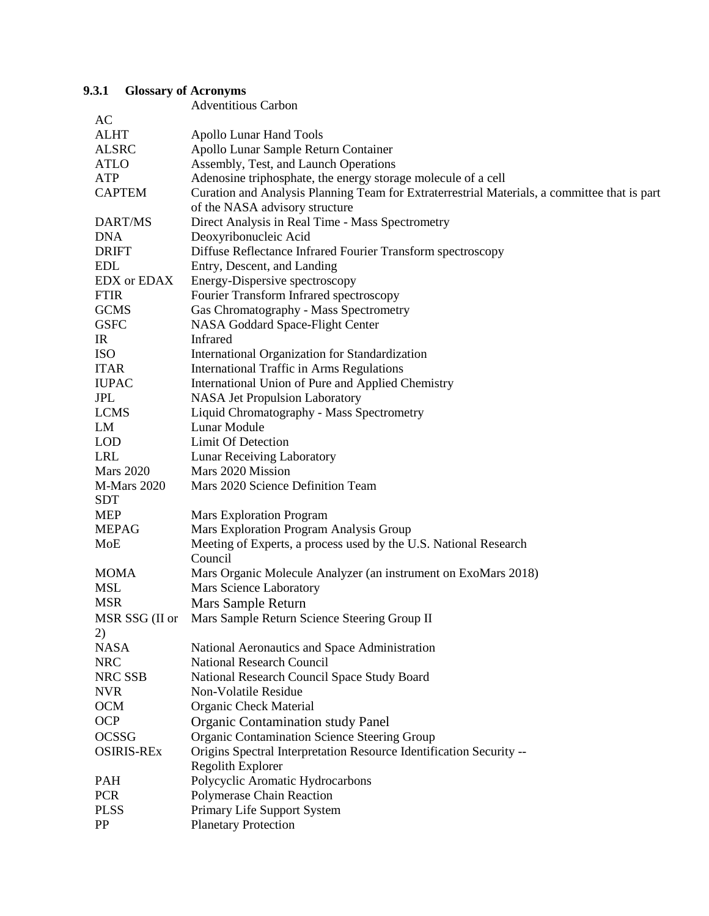#### **9.3.1 Glossary of Acronyms**

|                    | <b>Adventitious Carbon</b>                                                                   |
|--------------------|----------------------------------------------------------------------------------------------|
| AC                 |                                                                                              |
| <b>ALHT</b>        | <b>Apollo Lunar Hand Tools</b>                                                               |
| <b>ALSRC</b>       | Apollo Lunar Sample Return Container                                                         |
| <b>ATLO</b>        | Assembly, Test, and Launch Operations                                                        |
| ATP                | Adenosine triphosphate, the energy storage molecule of a cell                                |
| <b>CAPTEM</b>      | Curation and Analysis Planning Team for Extraterrestrial Materials, a committee that is part |
|                    | of the NASA advisory structure                                                               |
| DART/MS            | Direct Analysis in Real Time - Mass Spectrometry                                             |
| <b>DNA</b>         |                                                                                              |
|                    | Deoxyribonucleic Acid                                                                        |
| <b>DRIFT</b>       | Diffuse Reflectance Infrared Fourier Transform spectroscopy                                  |
| <b>EDL</b>         | Entry, Descent, and Landing                                                                  |
| EDX or EDAX        | Energy-Dispersive spectroscopy                                                               |
| <b>FTIR</b>        | Fourier Transform Infrared spectroscopy                                                      |
| <b>GCMS</b>        | Gas Chromatography - Mass Spectrometry                                                       |
| <b>GSFC</b>        | NASA Goddard Space-Flight Center                                                             |
| IR                 | <b>Infrared</b>                                                                              |
| <b>ISO</b>         | International Organization for Standardization                                               |
| <b>ITAR</b>        | International Traffic in Arms Regulations                                                    |
| <b>IUPAC</b>       | International Union of Pure and Applied Chemistry                                            |
| <b>JPL</b>         | <b>NASA Jet Propulsion Laboratory</b>                                                        |
| <b>LCMS</b>        | Liquid Chromatography - Mass Spectrometry                                                    |
| LM                 | Lunar Module                                                                                 |
| <b>LOD</b>         | Limit Of Detection                                                                           |
| <b>LRL</b>         | Lunar Receiving Laboratory                                                                   |
| <b>Mars 2020</b>   | Mars 2020 Mission                                                                            |
| <b>M-Mars 2020</b> | Mars 2020 Science Definition Team                                                            |
| <b>SDT</b>         |                                                                                              |
| <b>MEP</b>         | <b>Mars Exploration Program</b>                                                              |
| <b>MEPAG</b>       | Mars Exploration Program Analysis Group                                                      |
| <b>MoE</b>         | Meeting of Experts, a process used by the U.S. National Research                             |
|                    | Council                                                                                      |
|                    |                                                                                              |
| <b>MOMA</b>        | Mars Organic Molecule Analyzer (an instrument on ExoMars 2018)                               |
| MSL                | Mars Science Laboratory                                                                      |
| <b>MSR</b>         | Mars Sample Return                                                                           |
|                    | MSR SSG (II or Mars Sample Return Science Steering Group II                                  |
| 2)                 |                                                                                              |
| <b>NASA</b>        | National Aeronautics and Space Administration                                                |
| <b>NRC</b>         | <b>National Research Council</b>                                                             |
| NRC SSB            | National Research Council Space Study Board                                                  |
| <b>NVR</b>         | Non-Volatile Residue                                                                         |
| <b>OCM</b>         | Organic Check Material                                                                       |
| <b>OCP</b>         | <b>Organic Contamination study Panel</b>                                                     |
| <b>OCSSG</b>       | <b>Organic Contamination Science Steering Group</b>                                          |
| <b>OSIRIS-REX</b>  | Origins Spectral Interpretation Resource Identification Security --                          |
|                    | Regolith Explorer                                                                            |
| <b>PAH</b>         | Polycyclic Aromatic Hydrocarbons                                                             |
| <b>PCR</b>         | Polymerase Chain Reaction                                                                    |
| <b>PLSS</b>        | Primary Life Support System                                                                  |
| PP                 | <b>Planetary Protection</b>                                                                  |
|                    |                                                                                              |